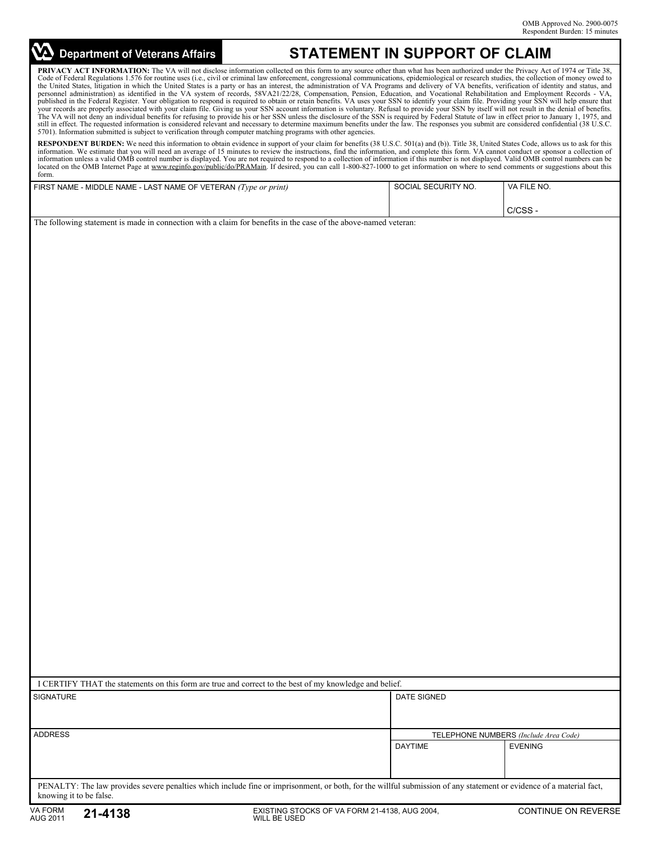## **Department of Veterans Affairs**

## **STATEMENT IN SUPPORT OF CLAIM**

PRIVACY ACT INFORMATION: The VA will not disclose information collected on this form to any source other than what has been authorized under the Privacy Act of 1974 or Title 38, Code of Federal Regulations 1.576 for routine uses (i.e., civil or criminal law enforcement, congressional communications, epidemiological or research studies, the collection of money owed to the United States, litigation in which the United States is a party or has an interest, the administration of VA Programs and delivery of VA benefits, verification of identity and status, and personnel administration) as i published in the Federal Register. Your obligation to respond is required to obtain or retain benefits. VA uses your SSN to identify your claim file. Providing your SSN will help ensure that your records are properly associated with your claim file. Giving us your SSN account information is voluntary. Refusal to provide your SSN by itself will not result in the denial of benefits.<br>The VA will not deny an indiv still in effect. The requested information is considered relevant and necessary to determine maximum benefits under the law. The responses you submit are considered confidential (38 U.S.C. 5701). Information submitted is subject to verification through computer matching programs with other agencies.

**RESPONDENT BURDEN:** We need this information to obtain evidence in support of your claim for benefits (38 U.S.C. 501(a) and (b)). Title 38, United States Code, allows us to ask for this information. We estimate that you will need an average of 15 minutes to review the instructions, find the information, and complete this form. VA cannot conduct or sponsor a collection of information unless a valid OMB control number is displayed. You are not required to respond to a collection of information if this number is not displayed. Valid OMB control numbers can be<br>located on the OMB Internet Page form.

| FIRST NAME - MIDDLE NAME - LAST NAME OF VETERAN (Type or print) | SOCIAL SECURITY NO. | VA FILE NO. |
|-----------------------------------------------------------------|---------------------|-------------|
|                                                                 |                     |             |
|                                                                 |                     | C/CSS-      |

The following statement is made in connection with a claim for benefits in the case of the above-named veteran:

| I CERTIFY THAT the statements on this form are true and correct to the best of my knowledge and belief.                                                                                        |                                       |                |  |
|------------------------------------------------------------------------------------------------------------------------------------------------------------------------------------------------|---------------------------------------|----------------|--|
| <b>SIGNATURE</b>                                                                                                                                                                               | DATE SIGNED                           |                |  |
| <b>ADDRESS</b>                                                                                                                                                                                 | TELEPHONE NUMBERS (Include Area Code) |                |  |
|                                                                                                                                                                                                | <b>DAYTIME</b>                        | <b>EVENING</b> |  |
| PENALTY: The law provides severe penalties which include fine or imprisonment, or both, for the willful submission of any statement or evidence of a material fact,<br>knowing it to be false. |                                       |                |  |